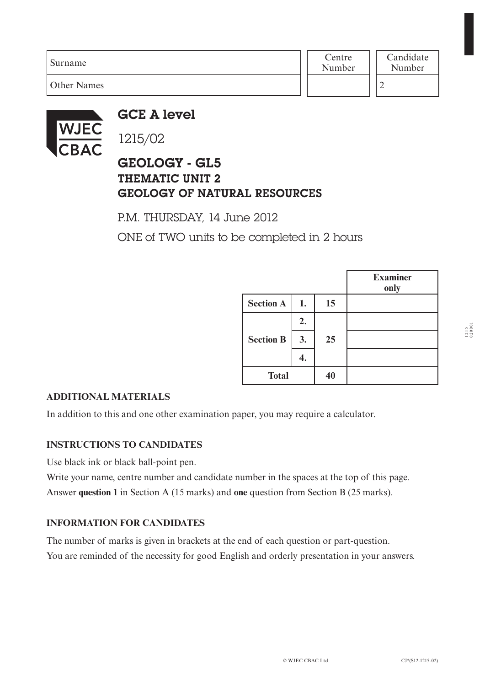Surname

Centre Number

2

Other Names



GCE A level

1215/02

# GEOLOGY - GL5 THEMATIC UNIT 2 GEOLOGY OF NATURAL RESOURCES

P.M. THURSDAY, 14 June 2012 ONE of TWO units to be completed in 2 hours

|                  |    |    | <b>Examiner</b><br>only |
|------------------|----|----|-------------------------|
| <b>Section A</b> | 1. | 15 |                         |
| <b>Section B</b> | 2. | 25 |                         |
|                  | 3. |    |                         |
|                  | 4. |    |                         |
| <b>Total</b>     |    | 40 |                         |

## **ADDITIONAL MATERIALS**

In addition to this and one other examination paper, you may require a calculator.

### **INSTRUCTIONS TO CANDIDATES**

Use black ink or black ball-point pen.

Write your name, centre number and candidate number in the spaces at the top of this page. Answer **question 1** in Section A (15 marks) and **one** question from Section B (25 marks).

### **INFORMATION FOR CANDIDATES**

The number of marks is given in brackets at the end of each question or part-question. You are reminded of the necessity for good English and orderly presentation in your answers.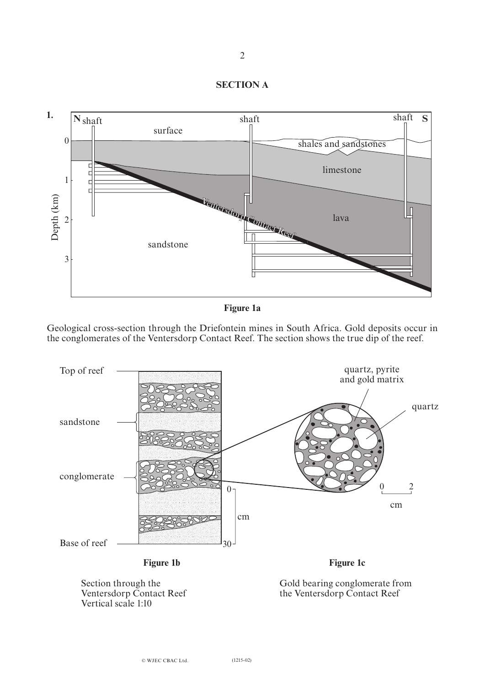### **SECTION A**



**Figure 1a**

Geological cross-section through the Driefontein mines in South Africa. Gold deposits occur in the conglomerates of the Ventersdorp Contact Reef. The section shows the true dip of the reef.



Section through the Ventersdorp Contact Reef Vertical scale 1:10

Gold bearing conglomerate from the Ventersdorp Contact Reef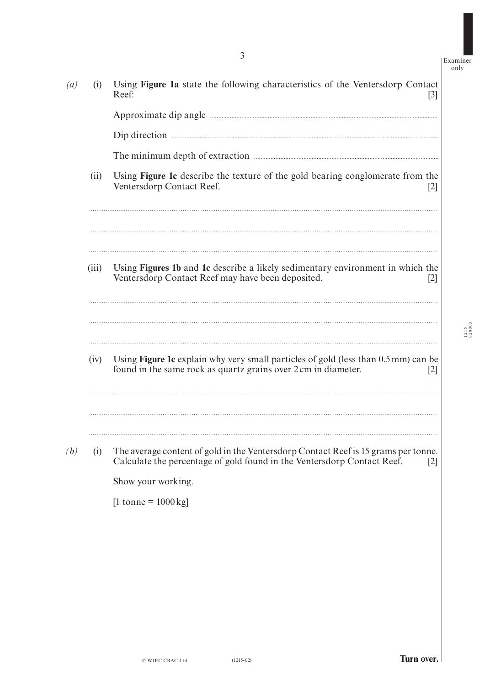| $\left(a\right)$ | (i)   | Using Figure 1a state the following characteristics of the Ventersdorp Contact<br>Reef:<br>$[3]$                                                                                                                                      |
|------------------|-------|---------------------------------------------------------------------------------------------------------------------------------------------------------------------------------------------------------------------------------------|
|                  | (ii)  | Using Figure 1c describe the texture of the gold bearing conglomerate from the<br>Ventersdorp Contact Reef.<br>$\lceil 2 \rceil$                                                                                                      |
|                  | (iii) | Using Figures 1b and 1c describe a likely sedimentary environment in which the<br>Ventersdorp Contact Reef may have been deposited.<br>$\lceil 2 \rceil$                                                                              |
|                  | (iv)  | Using Figure 1c explain why very small particles of gold (less than 0.5 mm) can be<br>found in the same rock as quartz grains over 2 cm in diameter.                                                                                  |
| (b)              | (i)   | The average content of gold in the Ventersdorp Contact Reef is 15 grams per tonne.<br>Calculate the percentage of gold found in the Ventersdorp Contact Reef.<br>$[2]$<br>Show your working.<br>$[1 \text{ tonne} = 1000 \text{ kg}]$ |

1215 020003

Examiner only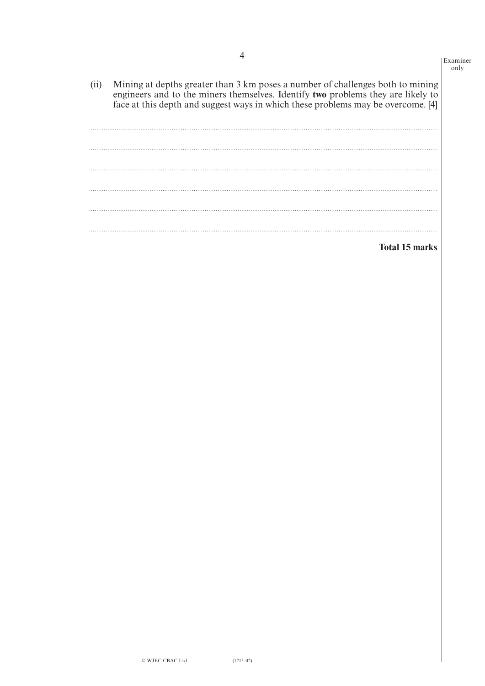#### Examiner only

(ii) Mining at depths greater than 3 km poses a number of challenges both to mining engineers and to the miners themselves. Identify **two** problems they are likely to face at this depth and suggest ways in which these problems may be overcome. [4]

## **Total 15 marks**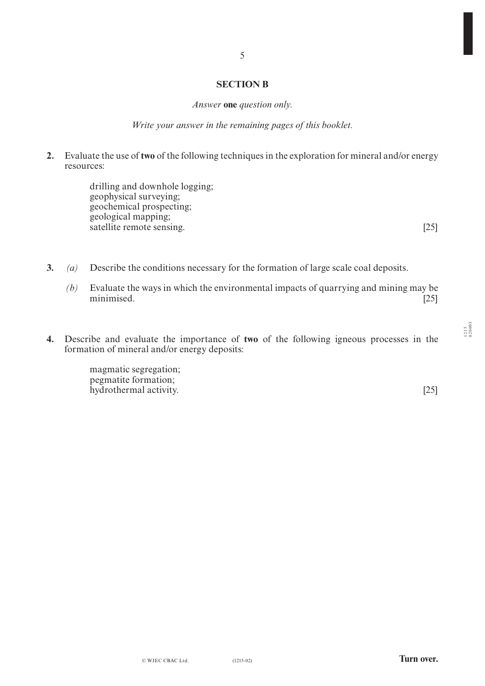### **SECTION B**

5

#### *Answer* **one** *question only.*

#### *Write your answer in the remaining pages of this booklet.*

**2.** Evaluate the use of **two** of the following techniques in the exploration for mineral and/or energy resources:

> drilling and downhole logging; geophysical surveying; geochemical prospecting; geological mapping; satellite remote sensing. [25]

- **3.** *(a)* Describe the conditions necessary for the formation of large scale coal deposits.
	- *(b)* Evaluate the ways in which the environmental impacts of quarrying and mining may be minimised. [25] minimised. [25]
- **4.** Describe and evaluate the importance of **two** of the following igneous processes in the formation of mineral and/or energy deposits:

 magmatic segregation; pegmatite formation; hydrothermal activity. [25]

1215 020005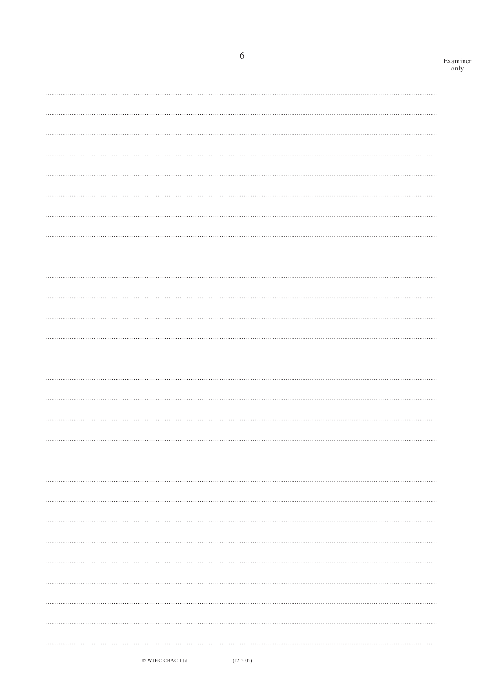| Examiner |
|----------|
| only     |

6

|   |                                          |             | . |
|---|------------------------------------------|-------------|---|
|   |                                          |             | . |
|   |                                          |             |   |
|   |                                          |             |   |
|   |                                          |             |   |
|   |                                          |             |   |
|   |                                          |             |   |
|   |                                          |             |   |
| . |                                          |             |   |
|   |                                          |             |   |
|   |                                          |             |   |
|   |                                          |             |   |
|   |                                          |             |   |
|   | $\ensuremath{\mathbb{O}}$ WJEC CBAC Ltd. | $(1215-02)$ |   |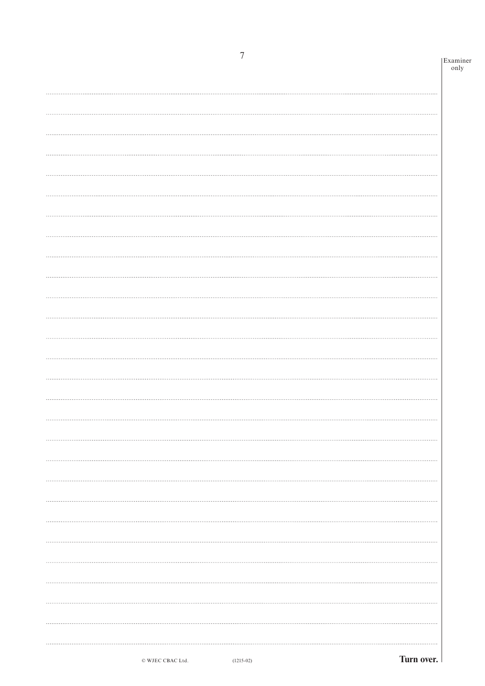#### Examiner only

7

| $\odot$ WJEC CBAC Ltd. | $(1215-02)$ | Turn over. |
|------------------------|-------------|------------|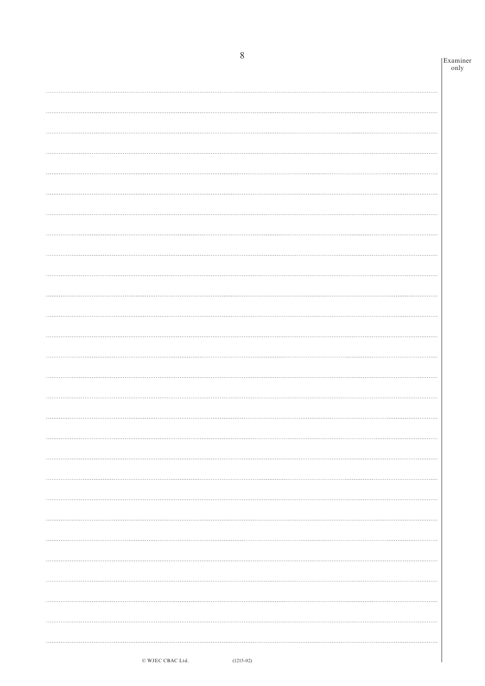#### 8 Examiner Examiner<br>only

|                        |             | . |
|------------------------|-------------|---|
|                        |             |   |
|                        |             |   |
|                        |             |   |
|                        |             |   |
|                        |             |   |
|                        |             |   |
|                        |             |   |
|                        |             |   |
|                        |             |   |
|                        |             |   |
|                        |             |   |
|                        |             |   |
|                        |             |   |
|                        |             |   |
|                        |             |   |
|                        |             |   |
| $\odot$ WJEC CBAC Ltd. | $(1215-02)$ |   |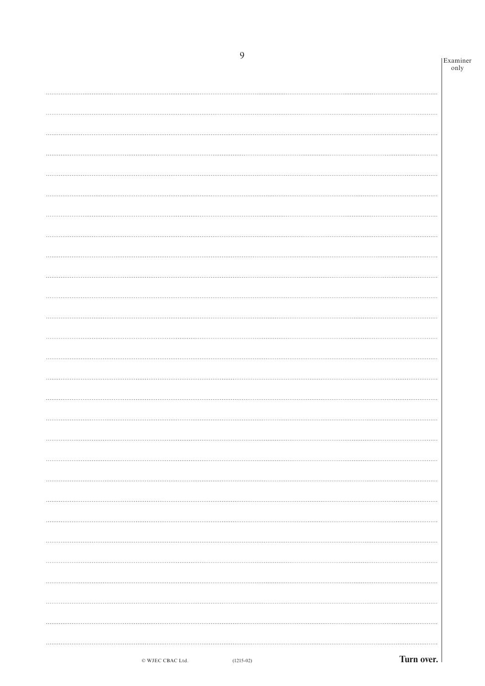| Examiner |
|----------|
| only     |
|          |

|                        |             | .          |
|------------------------|-------------|------------|
| $\odot$ WJEC CBAC Ltd. | $(1215-02)$ | Turn over. |